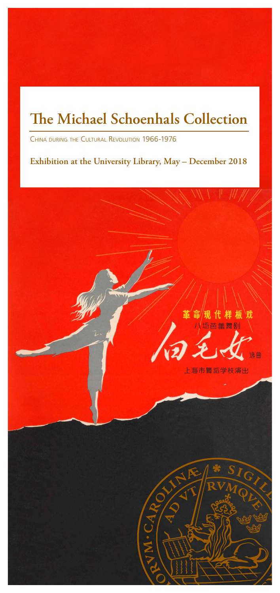## **The Michael Schoenhals Collection**

China during the Cultural Revolution 1966-1976

**Exhibition at the University Library, May – December 2018**

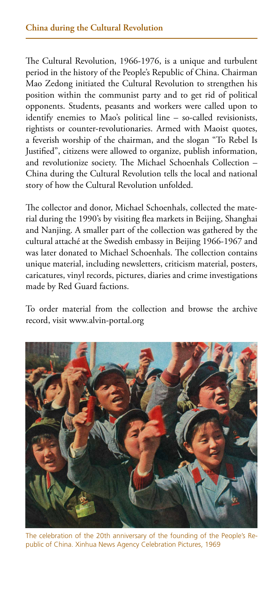The Cultural Revolution, 1966-1976, is a unique and turbulent period in the history of the People's Republic of China. Chairman Mao Zedong initiated the Cultural Revolution to strengthen his position within the communist party and to get rid of political opponents. Students, peasants and workers were called upon to identify enemies to Mao's political line – so-called revisionists, rightists or counter-revolutionaries. Armed with Maoist quotes, a feverish worship of the chairman, and the slogan "To Rebel Is Justified", citizens were allowed to organize, publish information, and revolutionize society. The Michael Schoenhals Collection – China during the Cultural Revolution tells the local and national story of how the Cultural Revolution unfolded.

The collector and donor, Michael Schoenhals, collected the material during the 1990's by visiting flea markets in Beijing, Shanghai and Nanjing. A smaller part of the collection was gathered by the cultural attaché at the Swedish embassy in Beijing 1966-1967 and was later donated to Michael Schoenhals. The collection contains unique material, including newsletters, criticism material, posters, caricatures, vinyl records, pictures, diaries and crime investigations made by Red Guard factions.

To order material from the collection and browse the archive record, visit www.alvin-portal.org



The celebration of the 20th anniversary of the founding of the People's Republic of China. Xinhua News Agency Celebration Pictures, 1969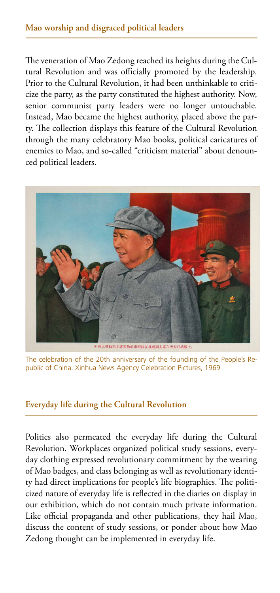The veneration of Mao Zedong reached its heights during the Cultural Revolution and was officially promoted by the leadership. Prior to the Cultural Revolution, it had been unthinkable to criticize the party, as the party constituted the highest authority. Now, senior communist party leaders were no longer untouchable. Instead, Mao became the highest authority, placed above the party. The collection displays this feature of the Cultural Revolution through the many celebratory Mao books, political caricatures of enemies to Mao, and so-called "criticism material" about denounced political leaders.



The celebration of the 20th anniversary of the founding of the People's Republic of China. Xinhua News Agency Celebration Pictures, 1969

## **Everyday life during the Cultural Revolution**

Politics also permeated the everyday life during the Cultural Revolution. Workplaces organized political study sessions, everyday clothing expressed revolutionary commitment by the wearing of Mao badges, and class belonging as well as revolutionary identity had direct implications for people's life biographies. The politicized nature of everyday life is reflected in the diaries on display in our exhibition, which do not contain much private information. Like official propaganda and other publications, they hail Mao, discuss the content of study sessions, or ponder about how Mao Zedong thought can be implemented in everyday life.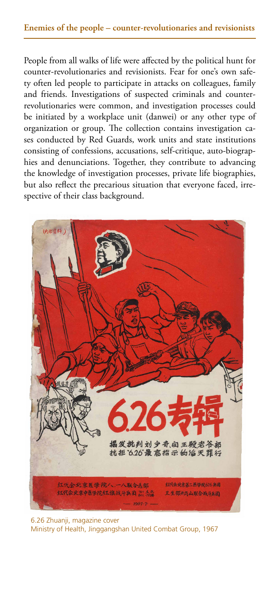People from all walks of life were affected by the political hunt for counter-revolutionaries and revisionists. Fear for one's own safety often led people to participate in attacks on colleagues, family and friends. Investigations of suspected criminals and counterrevolutionaries were common, and investigation processes could be initiated by a workplace unit (danwei) or any other type of organization or group. The collection contains investigation cases conducted by Red Guards, work units and state institutions consisting of confessions, accusations, self-critique, auto-biographies and denunciations. Together, they contribute to advancing the knowledge of investigation processes, private life biographies, but also reflect the precarious situation that everyone faced, irrespective of their class background.



6.26 Zhuanji, magazine cover Ministry of Health, Jinggangshan United Combat Group, 1967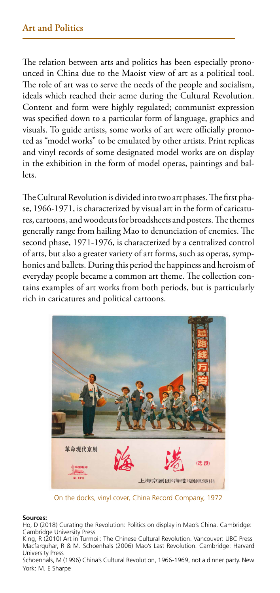The relation between arts and politics has been especially pronounced in China due to the Maoist view of art as a political tool. The role of art was to serve the needs of the people and socialism, ideals which reached their acme during the Cultural Revolution. Content and form were highly regulated; communist expression was specified down to a particular form of language, graphics and visuals. To guide artists, some works of art were officially promoted as "model works" to be emulated by other artists. Print replicas and vinyl records of some designated model works are on display in the exhibition in the form of model operas, paintings and ballets.

The Cultural Revolution is divided into two art phases. The first phase, 1966-1971, is characterized by visual art in the form of caricatures, cartoons, and woodcuts for broadsheets and posters. The themes generally range from hailing Mao to denunciation of enemies. The second phase, 1971-1976, is characterized by a centralized control of arts, but also a greater variety of art forms, such as operas, symphonies and ballets. During this period the happiness and heroism of everyday people became a common art theme. The collection contains examples of art works from both periods, but is particularly rich in caricatures and political cartoons.



On the docks, vinyl cover, China Record Company, 1972

## **Sources:**

Ho, D (2018) Curating the Revolution: Politics on display in Mao's China. Cambridge: Cambridge University Press

King, R (2010) Art in Turmoil: The Chinese Cultural Revolution. Vancouver: UBC Press Macfarquhar, R & M. Schoenhals (2006) Mao's Last Revolution. Cambridge: Harvard University Press

Schoenhals, M (1996) China's Cultural Revolution, 1966-1969, not a dinner party. New York: M. E Sharpe